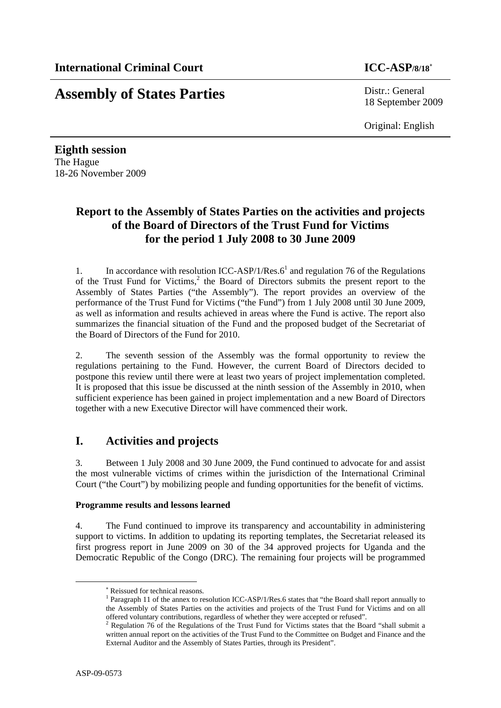# **Assembly of States Parties** Distr.: General

18 September 2009

Original: English

**Eighth session**  The Hague 18-26 November 2009

## **Report to the Assembly of States Parties on the activities and projects of the Board of Directors of the Trust Fund for Victims for the period 1 July 2008 to 30 June 2009**

1. In accordance with resolution ICC-ASP/1/Res. $6^1$  and regulation 76 of the Regulations of the Trust Fund for Victims, $2$  the Board of Directors submits the present report to the Assembly of States Parties ("the Assembly"). The report provides an overview of the performance of the Trust Fund for Victims ("the Fund") from 1 July 2008 until 30 June 2009, as well as information and results achieved in areas where the Fund is active. The report also summarizes the financial situation of the Fund and the proposed budget of the Secretariat of the Board of Directors of the Fund for 2010.

2. The seventh session of the Assembly was the formal opportunity to review the regulations pertaining to the Fund. However, the current Board of Directors decided to postpone this review until there were at least two years of project implementation completed. It is proposed that this issue be discussed at the ninth session of the Assembly in 2010, when sufficient experience has been gained in project implementation and a new Board of Directors together with a new Executive Director will have commenced their work.

## **I. Activities and projects**

3. Between 1 July 2008 and 30 June 2009, the Fund continued to advocate for and assist the most vulnerable victims of crimes within the jurisdiction of the International Criminal Court ("the Court") by mobilizing people and funding opportunities for the benefit of victims.

#### **Programme results and lessons learned**

4. The Fund continued to improve its transparency and accountability in administering support to victims. In addition to updating its reporting templates, the Secretariat released its first progress report in June 2009 on 30 of the 34 approved projects for Uganda and the Democratic Republic of the Congo (DRC). The remaining four projects will be programmed

l

<sup>∗</sup> Reissued for technical reasons.

<sup>&</sup>lt;sup>1</sup> Paragraph 11 of the annex to resolution ICC-ASP/1/Res.6 states that "the Board shall report annually to the Assembly of States Parties on the activities and projects of the Trust Fund for Victims and on all offered voluntary contributions, regardless of whether they were accepted or refused".<br><sup>2</sup> Regulation 76 of the Regulations of the Trust Fund for Victims states that the Board "shall submit a

written annual report on the activities of the Trust Fund to the Committee on Budget and Finance and the External Auditor and the Assembly of States Parties, through its President".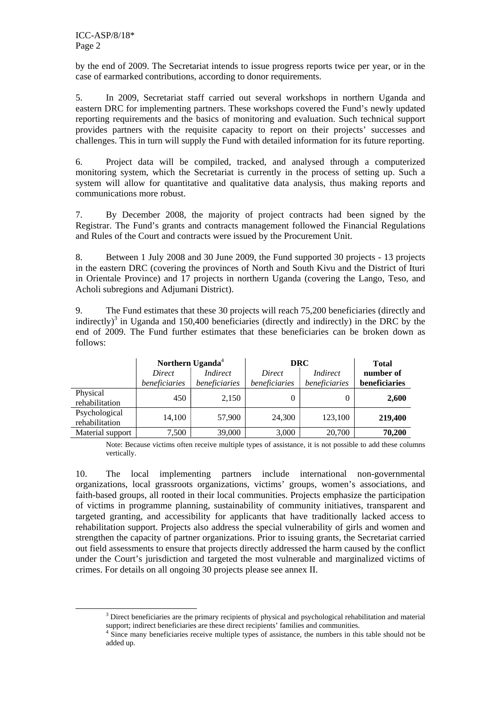by the end of 2009. The Secretariat intends to issue progress reports twice per year, or in the case of earmarked contributions, according to donor requirements.

5. In 2009, Secretariat staff carried out several workshops in northern Uganda and eastern DRC for implementing partners. These workshops covered the Fund's newly updated reporting requirements and the basics of monitoring and evaluation. Such technical support provides partners with the requisite capacity to report on their projects' successes and challenges. This in turn will supply the Fund with detailed information for its future reporting.

6. Project data will be compiled, tracked, and analysed through a computerized monitoring system, which the Secretariat is currently in the process of setting up. Such a system will allow for quantitative and qualitative data analysis, thus making reports and communications more robust.

7. By December 2008, the majority of project contracts had been signed by the Registrar. The Fund's grants and contracts management followed the Financial Regulations and Rules of the Court and contracts were issued by the Procurement Unit.

8. Between 1 July 2008 and 30 June 2009, the Fund supported 30 projects - 13 projects in the eastern DRC (covering the provinces of North and South Kivu and the District of Ituri in Orientale Province) and 17 projects in northern Uganda (covering the Lango, Teso, and Acholi subregions and Adjumani District).

9. The Fund estimates that these 30 projects will reach 75,200 beneficiaries (directly and indirectly)<sup>3</sup> in Uganda and 150,400 beneficiaries (directly and indirectly) in the DRC by the end of 2009. The Fund further estimates that these beneficiaries can be broken down as follows:

|                                 | Northern Uganda <sup>4</sup> |                 | <b>DRC</b>    |               | <b>Total</b>  |
|---------------------------------|------------------------------|-----------------|---------------|---------------|---------------|
|                                 | Direct                       | <i>Indirect</i> | Direct        | Indirect      | number of     |
|                                 | beneficiaries                | beneficiaries   | beneficiaries | beneficiaries | beneficiaries |
| Physical<br>rehabilitation      | 450                          | 2,150           | 0             | 0             | 2,600         |
| Psychological<br>rehabilitation | 14,100                       | 57,900          | 24,300        | 123,100       | 219,400       |
| Material support                | 7,500                        | 39,000          | 3,000         | 20,700        | 70,200        |

Note: Because victims often receive multiple types of assistance, it is not possible to add these columns vertically.

10. The local implementing partners include international non-governmental organizations, local grassroots organizations, victims' groups, women's associations, and faith-based groups, all rooted in their local communities. Projects emphasize the participation of victims in programme planning, sustainability of community initiatives, transparent and targeted granting, and accessibility for applicants that have traditionally lacked access to rehabilitation support. Projects also address the special vulnerability of girls and women and strengthen the capacity of partner organizations. Prior to issuing grants, the Secretariat carried out field assessments to ensure that projects directly addressed the harm caused by the conflict under the Court's jurisdiction and targeted the most vulnerable and marginalized victims of crimes. For details on all ongoing 30 projects please see annex II.

 <sup>3</sup> <sup>3</sup> Direct beneficiaries are the primary recipients of physical and psychological rehabilitation and material

support; indirect beneficiaries are these direct recipients' families and communities.<br><sup>4</sup> Since many beneficiaries receive multiple types of assistance, the numbers in this table should not be added up.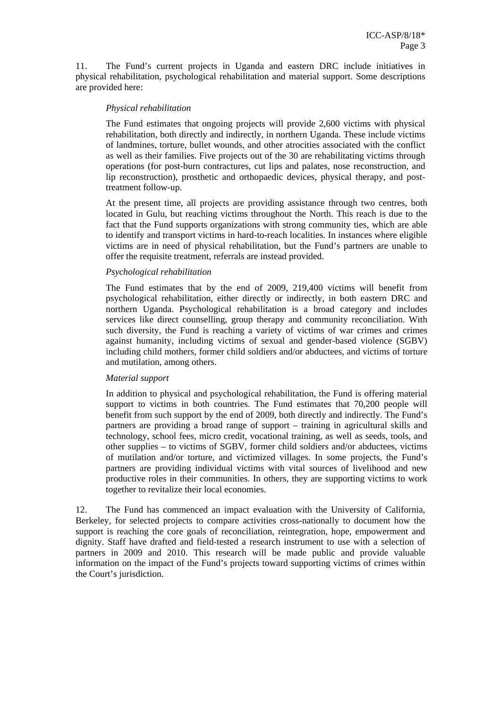11. The Fund's current projects in Uganda and eastern DRC include initiatives in physical rehabilitation, psychological rehabilitation and material support. Some descriptions are provided here:

#### *Physical rehabilitation*

The Fund estimates that ongoing projects will provide 2,600 victims with physical rehabilitation, both directly and indirectly, in northern Uganda. These include victims of landmines, torture, bullet wounds, and other atrocities associated with the conflict as well as their families. Five projects out of the 30 are rehabilitating victims through operations (for post-burn contractures, cut lips and palates, nose reconstruction, and lip reconstruction), prosthetic and orthopaedic devices, physical therapy, and posttreatment follow-up.

At the present time, all projects are providing assistance through two centres, both located in Gulu, but reaching victims throughout the North. This reach is due to the fact that the Fund supports organizations with strong community ties, which are able to identify and transport victims in hard-to-reach localities. In instances where eligible victims are in need of physical rehabilitation, but the Fund's partners are unable to offer the requisite treatment, referrals are instead provided.

#### *Psychological rehabilitation*

The Fund estimates that by the end of 2009, 219,400 victims will benefit from psychological rehabilitation, either directly or indirectly, in both eastern DRC and northern Uganda. Psychological rehabilitation is a broad category and includes services like direct counselling, group therapy and community reconciliation. With such diversity, the Fund is reaching a variety of victims of war crimes and crimes against humanity, including victims of sexual and gender-based violence (SGBV) including child mothers, former child soldiers and/or abductees, and victims of torture and mutilation, among others.

#### *Material support*

In addition to physical and psychological rehabilitation, the Fund is offering material support to victims in both countries. The Fund estimates that 70,200 people will benefit from such support by the end of 2009, both directly and indirectly. The Fund's partners are providing a broad range of support – training in agricultural skills and technology, school fees, micro credit, vocational training, as well as seeds, tools, and other supplies – to victims of SGBV, former child soldiers and/or abductees, victims of mutilation and/or torture, and victimized villages. In some projects, the Fund's partners are providing individual victims with vital sources of livelihood and new productive roles in their communities. In others, they are supporting victims to work together to revitalize their local economies.

12. The Fund has commenced an impact evaluation with the University of California, Berkeley, for selected projects to compare activities cross-nationally to document how the support is reaching the core goals of reconciliation, reintegration, hope, empowerment and dignity. Staff have drafted and field-tested a research instrument to use with a selection of partners in 2009 and 2010. This research will be made public and provide valuable information on the impact of the Fund's projects toward supporting victims of crimes within the Court's jurisdiction.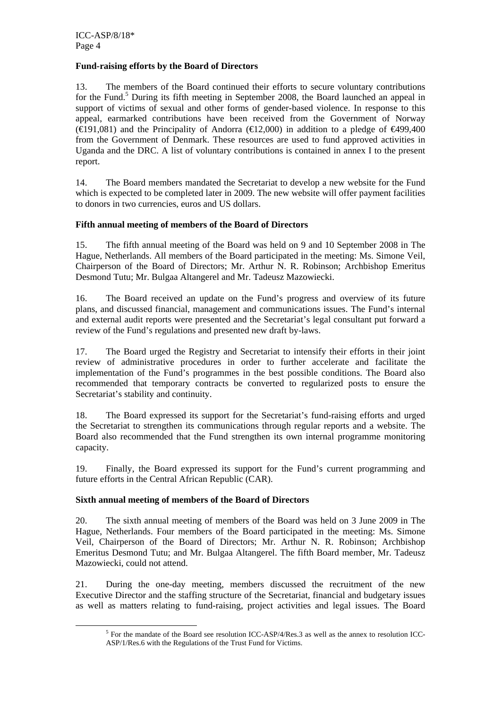ICC-ASP/8/18\* Page 4

#### **Fund-raising efforts by the Board of Directors**

13. The members of the Board continued their efforts to secure voluntary contributions for the Fund.<sup>5</sup> During its fifth meeting in September 2008, the Board launched an appeal in support of victims of sexual and other forms of gender-based violence. In response to this appeal, earmarked contributions have been received from the Government of Norway  $(\text{E}91,081)$  and the Principality of Andorra ( $\text{E}2,000$ ) in addition to a pledge of  $\text{E}499,400$ from the Government of Denmark. These resources are used to fund approved activities in Uganda and the DRC. A list of voluntary contributions is contained in annex I to the present report.

14. The Board members mandated the Secretariat to develop a new website for the Fund which is expected to be completed later in 2009. The new website will offer payment facilities to donors in two currencies, euros and US dollars.

### **Fifth annual meeting of members of the Board of Directors**

15. The fifth annual meeting of the Board was held on 9 and 10 September 2008 in The Hague, Netherlands. All members of the Board participated in the meeting: Ms. Simone Veil, Chairperson of the Board of Directors; Mr. Arthur N. R. Robinson; Archbishop Emeritus Desmond Tutu; Mr. Bulgaa Altangerel and Mr. Tadeusz Mazowiecki.

16. The Board received an update on the Fund's progress and overview of its future plans, and discussed financial, management and communications issues. The Fund's internal and external audit reports were presented and the Secretariat's legal consultant put forward a review of the Fund's regulations and presented new draft by-laws.

17. The Board urged the Registry and Secretariat to intensify their efforts in their joint review of administrative procedures in order to further accelerate and facilitate the implementation of the Fund's programmes in the best possible conditions. The Board also recommended that temporary contracts be converted to regularized posts to ensure the Secretariat's stability and continuity.

18. The Board expressed its support for the Secretariat's fund-raising efforts and urged the Secretariat to strengthen its communications through regular reports and a website. The Board also recommended that the Fund strengthen its own internal programme monitoring capacity.

19. Finally, the Board expressed its support for the Fund's current programming and future efforts in the Central African Republic (CAR).

### **Sixth annual meeting of members of the Board of Directors**

20. The sixth annual meeting of members of the Board was held on 3 June 2009 in The Hague, Netherlands. Four members of the Board participated in the meeting: Ms. Simone Veil, Chairperson of the Board of Directors; Mr. Arthur N. R. Robinson; Archbishop Emeritus Desmond Tutu; and Mr. Bulgaa Altangerel. The fifth Board member, Mr. Tadeusz Mazowiecki, could not attend.

21. During the one-day meeting, members discussed the recruitment of the new Executive Director and the staffing structure of the Secretariat, financial and budgetary issues as well as matters relating to fund-raising, project activities and legal issues. The Board

 $\frac{1}{5}$  $<sup>5</sup>$  For the mandate of the Board see resolution ICC-ASP/4/Res.3 as well as the annex to resolution ICC-</sup> ASP/1/Res.6 with the Regulations of the Trust Fund for Victims.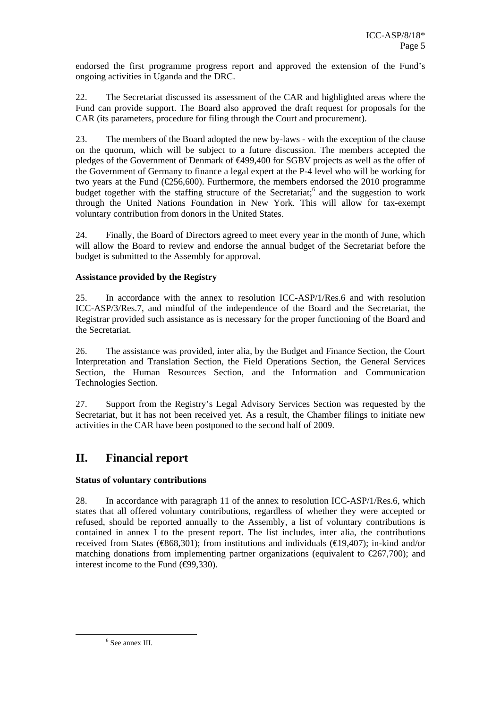endorsed the first programme progress report and approved the extension of the Fund's ongoing activities in Uganda and the DRC.

22. The Secretariat discussed its assessment of the CAR and highlighted areas where the Fund can provide support. The Board also approved the draft request for proposals for the CAR (its parameters, procedure for filing through the Court and procurement).

23. The members of the Board adopted the new by-laws - with the exception of the clause on the quorum, which will be subject to a future discussion. The members accepted the pledges of the Government of Denmark of €499,400 for SGBV projects as well as the offer of the Government of Germany to finance a legal expert at the P-4 level who will be working for two years at the Fund ( $\epsilon$ 256,600). Furthermore, the members endorsed the 2010 programme budget together with the staffing structure of the Secretariat;<sup>6</sup> and the suggestion to work through the United Nations Foundation in New York. This will allow for tax-exempt voluntary contribution from donors in the United States.

24. Finally, the Board of Directors agreed to meet every year in the month of June, which will allow the Board to review and endorse the annual budget of the Secretariat before the budget is submitted to the Assembly for approval.

#### **Assistance provided by the Registry**

25. In accordance with the annex to resolution ICC-ASP/1/Res.6 and with resolution ICC-ASP/3/Res.7, and mindful of the independence of the Board and the Secretariat, the Registrar provided such assistance as is necessary for the proper functioning of the Board and the Secretariat.

26. The assistance was provided, inter alia, by the Budget and Finance Section, the Court Interpretation and Translation Section, the Field Operations Section, the General Services Section, the Human Resources Section, and the Information and Communication Technologies Section.

27. Support from the Registry's Legal Advisory Services Section was requested by the Secretariat, but it has not been received yet. As a result, the Chamber filings to initiate new activities in the CAR have been postponed to the second half of 2009.

## **II. Financial report**

### **Status of voluntary contributions**

28. In accordance with paragraph 11 of the annex to resolution ICC-ASP/1/Res.6, which states that all offered voluntary contributions, regardless of whether they were accepted or refused, should be reported annually to the Assembly, a list of voluntary contributions is contained in annex I to the present report. The list includes, inter alia, the contributions received from States ( $\epsilon$ 868,301); from institutions and individuals ( $\epsilon$ 19,407); in-kind and/or matching donations from implementing partner organizations (equivalent to  $\epsilon$ 267,700); and interest income to the Fund  $(\text{\textsterling}99,330)$ .

 $\overline{\phantom{0}}$  $<sup>6</sup>$  See annex III.</sup>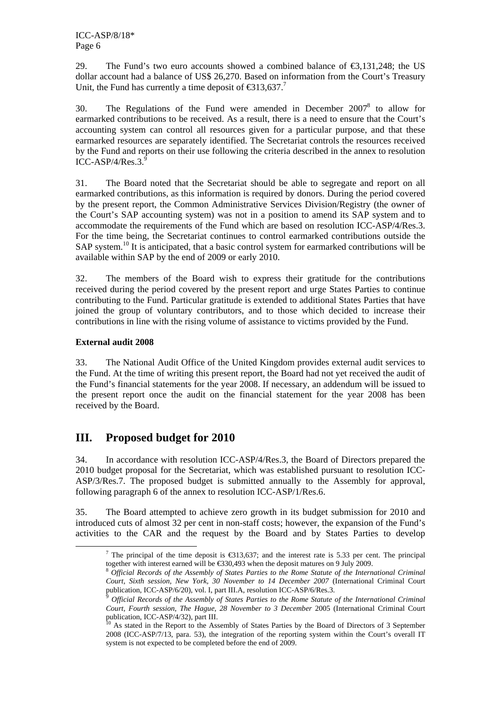29. The Fund's two euro accounts showed a combined balance of  $\epsilon$ 3,131,248; the US dollar account had a balance of US\$ 26,270. Based on information from the Court's Treasury Unit, the Fund has currently a time deposit of  $\text{\textsterling}313,637$ .

30. The Regulations of the Fund were amended in December  $2007<sup>8</sup>$  to allow for earmarked contributions to be received. As a result, there is a need to ensure that the Court's accounting system can control all resources given for a particular purpose, and that these earmarked resources are separately identified. The Secretariat controls the resources received by the Fund and reports on their use following the criteria described in the annex to resolution ICC-ASP/4/Res.3. $\frac{9}{2}$ 

31. The Board noted that the Secretariat should be able to segregate and report on all earmarked contributions, as this information is required by donors. During the period covered by the present report, the Common Administrative Services Division/Registry (the owner of the Court's SAP accounting system) was not in a position to amend its SAP system and to accommodate the requirements of the Fund which are based on resolution ICC-ASP/4/Res.3. For the time being, the Secretariat continues to control earmarked contributions outside the SAP system.<sup>10</sup> It is anticipated, that a basic control system for earmarked contributions will be available within SAP by the end of 2009 or early 2010.

32. The members of the Board wish to express their gratitude for the contributions received during the period covered by the present report and urge States Parties to continue contributing to the Fund. Particular gratitude is extended to additional States Parties that have joined the group of voluntary contributors, and to those which decided to increase their contributions in line with the rising volume of assistance to victims provided by the Fund.

#### **External audit 2008**

33. The National Audit Office of the United Kingdom provides external audit services to the Fund. At the time of writing this present report, the Board had not yet received the audit of the Fund's financial statements for the year 2008. If necessary, an addendum will be issued to the present report once the audit on the financial statement for the year 2008 has been received by the Board.

## **III. Proposed budget for 2010**

34. In accordance with resolution ICC-ASP/4/Res.3, the Board of Directors prepared the 2010 budget proposal for the Secretariat, which was established pursuant to resolution ICC-ASP/3/Res.7. The proposed budget is submitted annually to the Assembly for approval, following paragraph 6 of the annex to resolution ICC-ASP/1/Res.6.

35. The Board attempted to achieve zero growth in its budget submission for 2010 and introduced cuts of almost 32 per cent in non-staff costs; however, the expansion of the Fund's activities to the CAR and the request by the Board and by States Parties to develop

 <sup>7</sup> The principal of the time deposit is  $\leq 13,637$ ; and the interest rate is 5.33 per cent. The principal together with interest earned will be €330,493 when the deposit matures on 9 July 2009.

<sup>8</sup> *Official Records of the Assembly of States Parties to the Rome Statute of the International Criminal Court, Sixth session, New York, 30 November to 14 December 2007* (International Criminal Court publication, ICC-ASP/6/20), vol. I, part III.A, resolution ICC-ASP/6/Res.3.<br><sup>9</sup> Official Records of the Assembly of States Parties to the Rome Statute of the International Criminal

*Court, Fourth session, The Hague, 28 November to 3 December* 2005 (International Criminal Court publication, ICC-ASP/4/32), part III.

<sup>10</sup> As stated in the Report to the Assembly of States Parties by the Board of Directors of 3 September 2008 (ICC-ASP/7/13, para. 53), the integration of the reporting system within the Court's overall IT system is not expected to be completed before the end of 2009.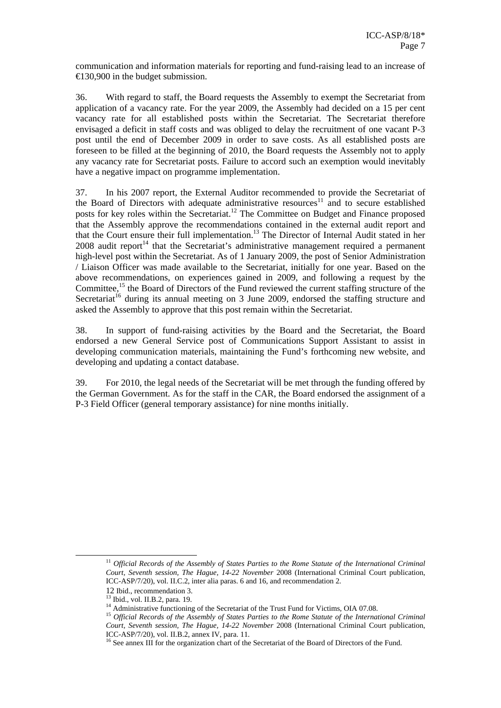communication and information materials for reporting and fund-raising lead to an increase of  $\triangleleft$  30,900 in the budget submission.

36. With regard to staff, the Board requests the Assembly to exempt the Secretariat from application of a vacancy rate. For the year 2009, the Assembly had decided on a 15 per cent vacancy rate for all established posts within the Secretariat. The Secretariat therefore envisaged a deficit in staff costs and was obliged to delay the recruitment of one vacant P-3 post until the end of December 2009 in order to save costs. As all established posts are foreseen to be filled at the beginning of 2010, the Board requests the Assembly not to apply any vacancy rate for Secretariat posts. Failure to accord such an exemption would inevitably have a negative impact on programme implementation.

37. In his 2007 report, the External Auditor recommended to provide the Secretariat of the Board of Directors with adequate administrative resources<sup>11</sup> and to secure established posts for key roles within the Secretariat.<sup>12</sup> The Committee on Budget and Finance proposed that the Assembly approve the recommendations contained in the external audit report and that the Court ensure their full implementation.<sup>13</sup> The Director of Internal Audit stated in her  $2008$  audit report<sup>14</sup> that the Secretariat's administrative management required a permanent high-level post within the Secretariat. As of 1 January 2009, the post of Senior Administration / Liaison Officer was made available to the Secretariat, initially for one year. Based on the above recommendations, on experiences gained in 2009, and following a request by the Committee,<sup>15</sup> the Board of Directors of the Fund reviewed the current staffing structure of the Secretariat<sup>16</sup> during its annual meeting on 3 June 2009, endorsed the staffing structure and asked the Assembly to approve that this post remain within the Secretariat.

38. In support of fund-raising activities by the Board and the Secretariat, the Board endorsed a new General Service post of Communications Support Assistant to assist in developing communication materials, maintaining the Fund's forthcoming new website, and developing and updating a contact database.

39. For 2010, the legal needs of the Secretariat will be met through the funding offered by the German Government. As for the staff in the CAR, the Board endorsed the assignment of a P-3 Field Officer (general temporary assistance) for nine months initially.

<sup>&</sup>lt;sup>11</sup> *Official Records of the Assembly of States Parties to the Rome Statute of the International Criminal Court, Seventh session, The Hague, 14-22 November* 2008 (International Criminal Court publication, ICC-ASP/7/20), vol. II.C.2, inter alia paras. 6 and 16, and recommendation 2.

<sup>12</sup> Ibid., recommendation 3.<br><sup>13</sup> Ibid., vol. II.B.2, para. 19.<br><sup>14</sup> Administrative functioning of the Secretariat of the Trust Fund for Victims, OIA 07.08.

<sup>&</sup>lt;sup>15</sup> Official Records of the Assembly of States Parties to the Rome Statute of the International Criminal *Court, Seventh session, The Hague, 14-22 November* 2008 (International Criminal Court publication, ICC-ASP/7/20), vol. II.B.2, annex IV, para. 11.

<sup>&</sup>lt;sup>16</sup> See annex III for the organization chart of the Secretariat of the Board of Directors of the Fund.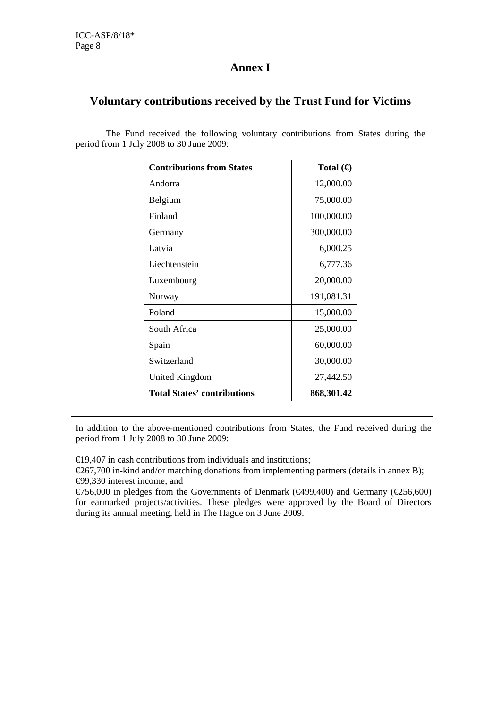## **Annex I**

## **Voluntary contributions received by the Trust Fund for Victims**

The Fund received the following voluntary contributions from States during the period from 1 July 2008 to 30 June 2009:

| <b>Contributions from States</b>   | Total $\Theta$ |
|------------------------------------|----------------|
| Andorra                            | 12,000.00      |
| Belgium                            | 75,000.00      |
| Finland                            | 100,000.00     |
| Germany                            | 300,000.00     |
| Latvia                             | 6,000.25       |
| Liechtenstein                      | 6,777.36       |
| Luxembourg                         | 20,000.00      |
| Norway                             | 191,081.31     |
| Poland                             | 15,000.00      |
| South Africa                       | 25,000.00      |
| Spain                              | 60,000.00      |
| Switzerland                        | 30,000.00      |
| United Kingdom                     | 27,442.50      |
| <b>Total States' contributions</b> | 868,301.42     |

In addition to the above-mentioned contributions from States, the Fund received during the period from 1 July 2008 to 30 June 2009:

 $\triangleq$ 9,407 in cash contributions from individuals and institutions;

 $\epsilon$ 267,700 in-kind and/or matching donations from implementing partners (details in annex B); €99,330 interest income; and

€756,000 in pledges from the Governments of Denmark ( $\Theta$ 499,400) and Germany ( $\Theta$ 56,600) for earmarked projects/activities. These pledges were approved by the Board of Directors during its annual meeting, held in The Hague on 3 June 2009.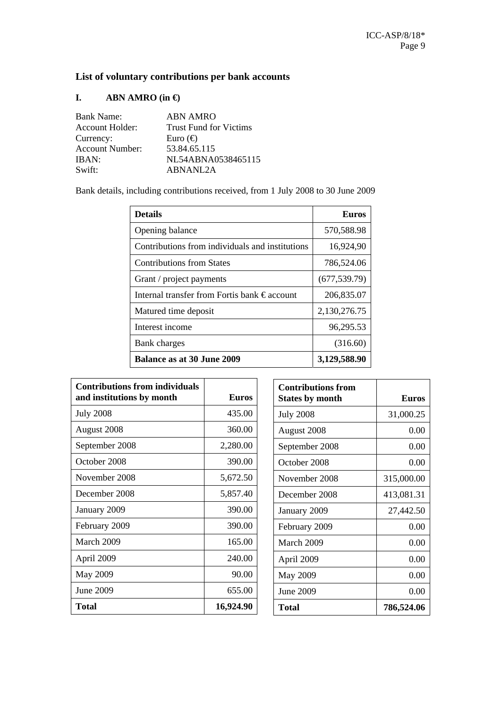## **List of voluntary contributions per bank accounts**

## **I. ABN AMRO (in €)**

| <b>Bank Name:</b>      | ABN AMRO               |
|------------------------|------------------------|
| Account Holder:        | Trust Fund for Victims |
| Currency:              | Euro $\Theta$          |
| <b>Account Number:</b> | 53.84.65.115           |
| IBAN:                  | NL54ABNA0538465115     |
| Swift:                 | ABNANL2A               |

Bank details, including contributions received, from 1 July 2008 to 30 June 2009

| <b>Details</b>                                        | <b>Euros</b>  |
|-------------------------------------------------------|---------------|
| Opening balance                                       | 570,588.98    |
| Contributions from individuals and institutions       | 16,924,90     |
| <b>Contributions from States</b>                      | 786,524.06    |
| Grant / project payments                              | (677, 539.79) |
| Internal transfer from Fortis bank $\epsilon$ account | 206,835.07    |
| Matured time deposit                                  | 2,130,276.75  |
| Interest income                                       | 96,295.53     |
| <b>Bank</b> charges                                   | (316.60)      |
| <b>Balance as at 30 June 2009</b>                     | 3,129,588.90  |

| <b>Contributions from individuals</b><br>and institutions by month | <b>Euros</b> |
|--------------------------------------------------------------------|--------------|
| <b>July 2008</b>                                                   | 435.00       |
| August 2008                                                        | 360.00       |
| September 2008                                                     | 2,280.00     |
| October 2008                                                       | 390.00       |
| November 2008                                                      | 5,672.50     |
| December 2008                                                      | 5,857.40     |
| January 2009                                                       | 390.00       |
| February 2009                                                      | 390.00       |
| March 2009                                                         | 165.00       |
| April 2009                                                         | 240.00       |
| May 2009                                                           | 90.00        |
| June 2009                                                          | 655.00       |
| Total                                                              | 16,924.90    |

| <b>Contributions from</b><br><b>States by month</b> | Euros      |
|-----------------------------------------------------|------------|
| <b>July 2008</b>                                    | 31,000.25  |
| August 2008                                         | 0.00       |
| September 2008                                      | 0.00       |
| October 2008                                        | 0.00       |
| November 2008                                       | 315,000.00 |
| December 2008                                       | 413,081.31 |
| January 2009                                        | 27,442.50  |
| February 2009                                       | 0.00       |
| March 2009                                          | 0.00       |
| April 2009                                          | 0.00       |
| May 2009                                            | 0.00       |
| June 2009                                           | 0.00       |
| Total                                               | 786,524.06 |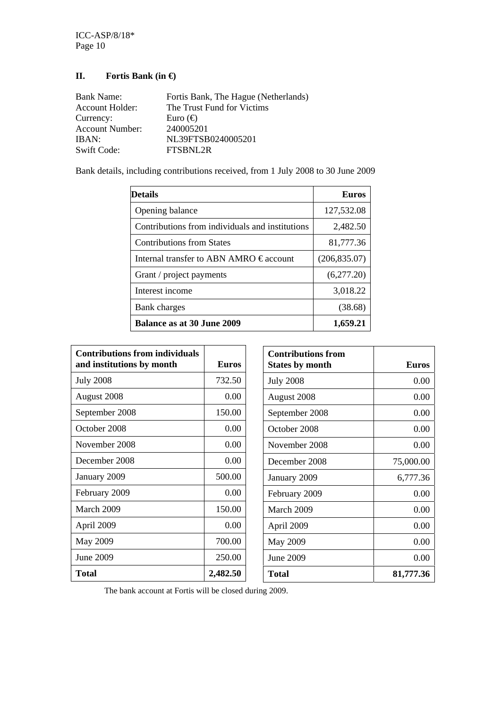## **II. Fortis Bank (in €)**

| <b>Bank Name:</b>      | Fortis Bank, The Hague (Netherlands) |
|------------------------|--------------------------------------|
| Account Holder:        | The Trust Fund for Victims           |
| Currency:              | Euro $(\oplus)$                      |
| <b>Account Number:</b> | 240005201                            |
| IBAN:                  | NL39FTSB0240005201                   |
| Swift Code:            | FTSBNI 2R                            |

Bank details, including contributions received, from 1 July 2008 to 30 June 2009

| <b>Details</b>                                   | <b>Euros</b>  |
|--------------------------------------------------|---------------|
| Opening balance                                  | 127,532.08    |
| Contributions from individuals and institutions  | 2,482.50      |
| <b>Contributions from States</b>                 | 81,777.36     |
| Internal transfer to ABN AMRO $\epsilon$ account | (206, 835.07) |
| Grant / project payments                         | (6,277.20)    |
| Interest income                                  | 3,018.22      |
| <b>Bank</b> charges                              | (38.68)       |
| <b>Balance as at 30 June 2009</b>                | 1,659.21      |

| <b>Contributions from individuals</b><br>and institutions by month | <b>Euros</b> | <b>Contr</b><br><b>States</b> |
|--------------------------------------------------------------------|--------------|-------------------------------|
| <b>July 2008</b>                                                   | 732.50       | July 20                       |
| August 2008                                                        | 0.00         | Augus                         |
| September 2008                                                     | 150.00       | Septen                        |
| October 2008                                                       | 0.00         | Octobe                        |
| November 2008                                                      | 0.00         | Noven                         |
| December 2008                                                      | 0.00         | Decen                         |
| January 2009                                                       | 500.00       | Januar                        |
| February 2009                                                      | 0.00         | Februa                        |
| March 2009                                                         | 150.00       | March                         |
| April 2009                                                         | 0.00         | April 2                       |
| May 2009                                                           | 700.00       | May 2                         |
| June 2009                                                          | 250.00       | June 2                        |
| Total                                                              | 2,482.50     | <b>Total</b>                  |

| <b>Contributions from</b><br><b>States by month</b> | <b>Euros</b> |
|-----------------------------------------------------|--------------|
| <b>July 2008</b>                                    | 0.00         |
| August 2008                                         | 0.00         |
| September 2008                                      | 0.00         |
| October 2008                                        | 0.00         |
| November 2008                                       | 0.00         |
| December 2008                                       | 75,000.00    |
| January 2009                                        | 6,777.36     |
| February 2009                                       | 0.00         |
| March 2009                                          | 0.00         |
| April 2009                                          | 0.00         |
| May 2009                                            | 0.00         |
| June 2009                                           | 0.00         |
| Total                                               | 81,777.36    |

The bank account at Fortis will be closed during 2009.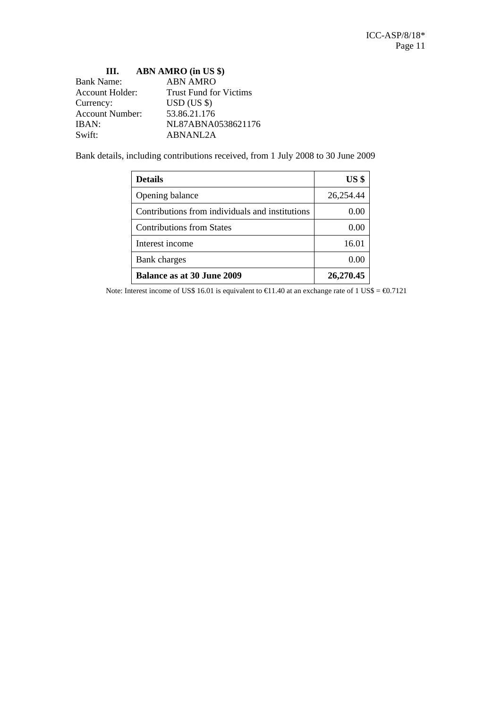#### **III. ABN AMRO (in US \$)**<br>Bank Name: **ABN AMRO** ABN AMRO Account Holder: Trust Fund for Victims Currency: USD (US \$) Account Number: 53.86.21.176 IBAN: NL87ABNA0538621176 Swift: ABNANL2A

Bank details, including contributions received, from 1 July 2008 to 30 June 2009

| <b>Details</b>                                  | <b>US \$</b> |
|-------------------------------------------------|--------------|
| Opening balance                                 | 26,254.44    |
| Contributions from individuals and institutions | 0.00         |
| <b>Contributions from States</b>                | 0.00         |
| Interest income                                 | 16.01        |
| Bank charges                                    | 0.00         |
| <b>Balance as at 30 June 2009</b>               | 26,270.45    |

Note: Interest income of US\$ 16.01 is equivalent to  $\text{€}1.40$  at an exchange rate of 1 US\$ =  $\text{€}0.7121$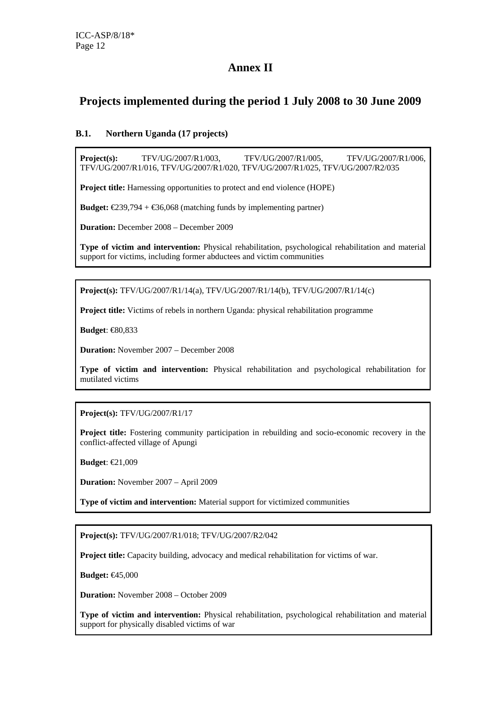## **Annex II**

## **Projects implemented during the period 1 July 2008 to 30 June 2009**

## **B.1. Northern Uganda (17 projects)**

**Project(s):** TFV/UG/2007/R1/003, TFV/UG/2007/R1/005, TFV/UG/2007/R1/006, TFV/UG/2007/R1/016, TFV/UG/2007/R1/020, TFV/UG/2007/R1/025, TFV/UG/2007/R2/035

**Project title:** Harnessing opportunities to protect and end violence (HOPE)

**Budget:**  $\textcircled{239,794} + \textcircled{66,068}$  (matching funds by implementing partner)

**Duration:** December 2008 – December 2009

**Type of victim and intervention:** Physical rehabilitation, psychological rehabilitation and material support for victims, including former abductees and victim communities

**Project(s):** TFV/UG/2007/R1/14(a), TFV/UG/2007/R1/14(b), TFV/UG/2007/R1/14(c)

**Project title:** Victims of rebels in northern Uganda: physical rehabilitation programme

**Budget**: €80,833

**Duration:** November 2007 – December 2008

**Type of victim and intervention:** Physical rehabilitation and psychological rehabilitation for mutilated victims

**Project(s):** TFV/UG/2007/R1/17

**Project title:** Fostering community participation in rebuilding and socio-economic recovery in the conflict-affected village of Apungi

**Budget**: €21,009

**Duration:** November 2007 – April 2009

**Type of victim and intervention:** Material support for victimized communities

**Project(s):** TFV/UG/2007/R1/018; TFV/UG/2007/R2/042

**Project title:** Capacity building, advocacy and medical rehabilitation for victims of war.

**Budget:** €45,000

**Duration:** November 2008 – October 2009

**Type of victim and intervention:** Physical rehabilitation, psychological rehabilitation and material support for physically disabled victims of war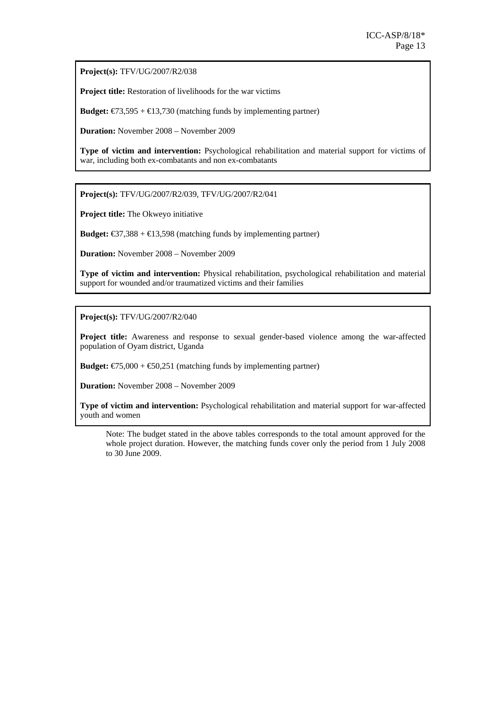**Project(s):** TFV/UG/2007/R2/038

**Project title:** Restoration of livelihoods for the war victims

**Budget:**  $\epsilon$ 73,595 +  $\epsilon$ 13,730 (matching funds by implementing partner)

**Duration:** November 2008 – November 2009

**Type of victim and intervention:** Psychological rehabilitation and material support for victims of war, including both ex-combatants and non ex-combatants

**Project(s):** TFV/UG/2007/R2/039, TFV/UG/2007/R2/041

**Project title:** The Okweyo initiative

**Budget:**  $\text{\textsterling}37,388 + \text{\textsterling}13,598$  (matching funds by implementing partner)

**Duration:** November 2008 – November 2009

**Type of victim and intervention:** Physical rehabilitation, psychological rehabilitation and material support for wounded and/or traumatized victims and their families

**Project(s):** TFV/UG/2007/R2/040

**Project title:** Awareness and response to sexual gender-based violence among the war-affected population of Oyam district, Uganda

**Budget:**  $\mathcal{L}$ 5,000 +  $\mathcal{L}$ 50,251 (matching funds by implementing partner)

**Duration:** November 2008 – November 2009

**Type of victim and intervention:** Psychological rehabilitation and material support for war-affected youth and women

Note: The budget stated in the above tables corresponds to the total amount approved for the whole project duration. However, the matching funds cover only the period from 1 July 2008 to 30 June 2009.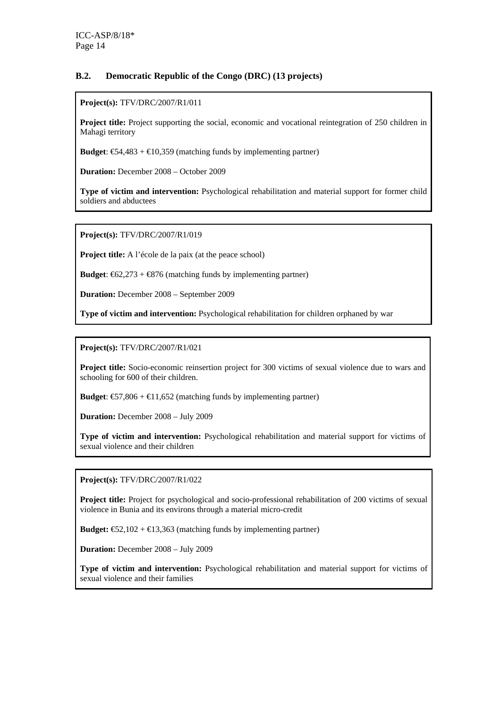#### **B.2. Democratic Republic of the Congo (DRC) (13 projects)**

**Project(s):** TFV/DRC/2007/R1/011

**Project title:** Project supporting the social, economic and vocational reintegration of 250 children in Mahagi territory

**Budget:**  $\text{\textsterling}4,483 + \text{\textsterling}10,359$  (matching funds by implementing partner)

**Duration:** December 2008 – October 2009

**Type of victim and intervention:** Psychological rehabilitation and material support for former child soldiers and abductees

**Project(s):** TFV/DRC/2007/R1/019

**Project title:** A l'école de la paix (at the peace school)

**Budget:**  $62,273 + 876$  (matching funds by implementing partner)

**Duration:** December 2008 – September 2009

**Type of victim and intervention:** Psychological rehabilitation for children orphaned by war

**Project(s):** TFV/DRC/2007/R1/021

**Project title:** Socio-economic reinsertion project for 300 victims of sexual violence due to wars and schooling for 600 of their children.

**Budget:**  $\text{\textsterling}7,806 + \text{\textsterling}1,652$  (matching funds by implementing partner)

**Duration:** December 2008 – July 2009

**Type of victim and intervention:** Psychological rehabilitation and material support for victims of sexual violence and their children

**Project(s):** TFV/DRC/2007/R1/022

**Project title:** Project for psychological and socio-professional rehabilitation of 200 victims of sexual violence in Bunia and its environs through a material micro-credit

**Budget:**  $\text{\textsterling}2,102 + \text{\textsterling}3,363$  (matching funds by implementing partner)

**Duration:** December 2008 – July 2009

**Type of victim and intervention:** Psychological rehabilitation and material support for victims of sexual violence and their families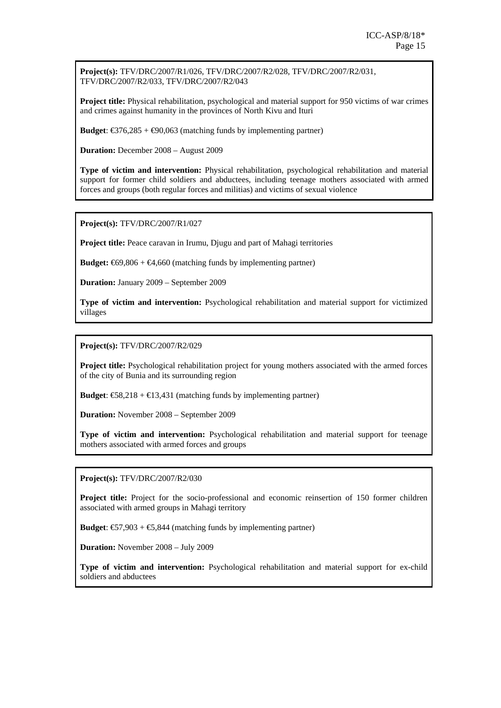**Project(s):** TFV/DRC/2007/R1/026, TFV/DRC/2007/R2/028, TFV/DRC/2007/R2/031, TFV/DRC/2007/R2/033, TFV/DRC/2007/R2/043

**Project title:** Physical rehabilitation, psychological and material support for 950 victims of war crimes and crimes against humanity in the provinces of North Kivu and Ituri

**Budget:**  $\text{\textsterling}376,285 + \text{\textsterling}90,063$  (matching funds by implementing partner)

**Duration:** December 2008 – August 2009

**Type of victim and intervention:** Physical rehabilitation, psychological rehabilitation and material support for former child soldiers and abductees, including teenage mothers associated with armed forces and groups (both regular forces and militias) and victims of sexual violence

**Project(s):** TFV/DRC/2007/R1/027

**Project title:** Peace caravan in Irumu, Djugu and part of Mahagi territories

**Budget:**  $\text{\textsterling}69,806 + \text{\textsterling}4,660$  (matching funds by implementing partner)

**Duration:** January 2009 – September 2009

**Type of victim and intervention:** Psychological rehabilitation and material support for victimized villages

**Project(s):** TFV/DRC/2007/R2/029

**Project title:** Psychological rehabilitation project for young mothers associated with the armed forces of the city of Bunia and its surrounding region

**Budget:**  $\text{\textsterling}8,218 + \text{\textsterling}13,431$  (matching funds by implementing partner)

**Duration:** November 2008 – September 2009

**Type of victim and intervention:** Psychological rehabilitation and material support for teenage mothers associated with armed forces and groups

**Project(s):** TFV/DRC/2007/R2/030

**Project title:** Project for the socio-professional and economic reinsertion of 150 former children associated with armed groups in Mahagi territory

**Budget:**  $\text{\textsterling}7,903 + \text{\textsterling}5,844$  (matching funds by implementing partner)

**Duration:** November 2008 – July 2009

**Type of victim and intervention:** Psychological rehabilitation and material support for ex-child soldiers and abductees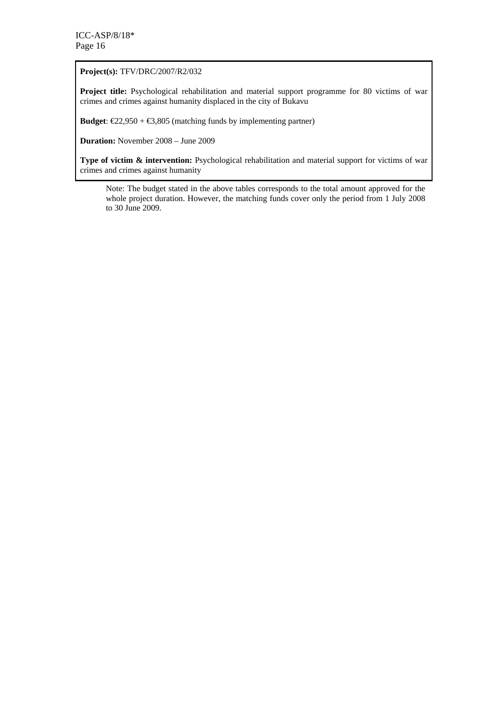#### **Project(s):** TFV/DRC/2007/R2/032

**Project title:** Psychological rehabilitation and material support programme for 80 victims of war crimes and crimes against humanity displaced in the city of Bukavu

**Budget:**  $\text{\textcircled{22,950}} + \text{\textcircled{3,805}}$  (matching funds by implementing partner)

**Duration:** November 2008 – June 2009

Type of victim & intervention: Psychological rehabilitation and material support for victims of war crimes and crimes against humanity

Note: The budget stated in the above tables corresponds to the total amount approved for the whole project duration. However, the matching funds cover only the period from 1 July 2008 to 30 June 2009.